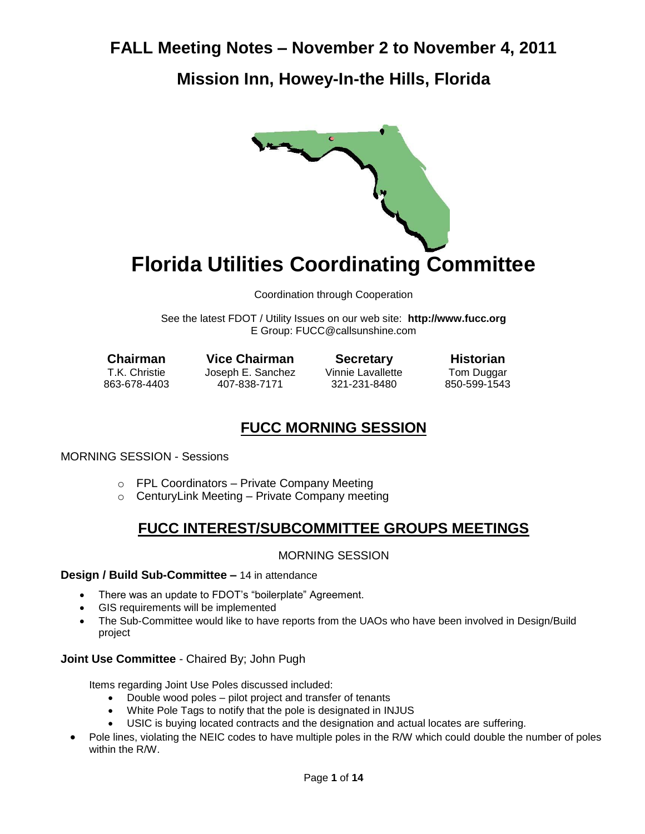## **Mission Inn, Howey-In-the Hills, Florida**



# **Florida Utilities Coordinating Committee**

Coordination through Cooperation

See the latest FDOT / Utility Issues on our web site: **[http://www.fucc.org](http://www.fucc.org/)** E Group: [FUCC@callsunshine.com](mailto:FUCC@callsunshine.com)

**Chairman Vice Chairman Secretary Historian** T.K. Christie Joseph E. Sanchez Vinnie Lavallette Tom Duggar 863-678-4403 407-838-7171 321-231-8480 850-599-1543

### **FUCC MORNING SESSION**

MORNING SESSION - Sessions

- o FPL Coordinators Private Company Meeting
- $\circ$  CenturyLink Meeting Private Company meeting

### **FUCC INTEREST/SUBCOMMITTEE GROUPS MEETINGS**

#### MORNING SESSION

#### **Design / Build Sub-Committee –** 14 in attendance

- There was an update to FDOT's "boilerplate" Agreement.
- GIS requirements will be implemented
- The Sub-Committee would like to have reports from the UAOs who have been involved in Design/Build project

#### **Joint Use Committee** - Chaired By; John Pugh

Items regarding Joint Use Poles discussed included:

- Double wood poles pilot project and transfer of tenants
- White Pole Tags to notify that the pole is designated in INJUS
- USIC is buying located contracts and the designation and actual locates are suffering.
- Pole lines, violating the NEIC codes to have multiple poles in the R/W which could double the number of poles within the R/W.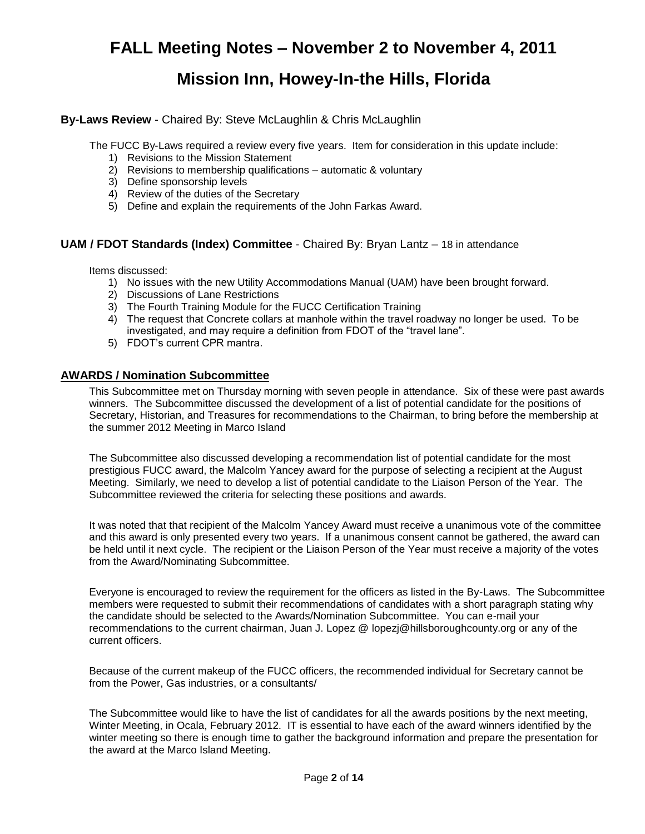## **Mission Inn, Howey-In-the Hills, Florida**

#### **By-Laws Review** - Chaired By: Steve McLaughlin & Chris McLaughlin

The FUCC By-Laws required a review every five years. Item for consideration in this update include:

- 1) Revisions to the Mission Statement
- 2) Revisions to membership qualifications automatic & voluntary
- 3) Define sponsorship levels
- 4) Review of the duties of the Secretary
- 5) Define and explain the requirements of the John Farkas Award.

#### **UAM / FDOT Standards (Index) Committee** - Chaired By: Bryan Lantz – 18 in attendance

Items discussed:

- 1) No issues with the new Utility Accommodations Manual (UAM) have been brought forward.
- 2) Discussions of Lane Restrictions
- 3) The Fourth Training Module for the FUCC Certification Training
- 4) The request that Concrete collars at manhole within the travel roadway no longer be used. To be investigated, and may require a definition from FDOT of the "travel lane".
- 5) FDOT's current CPR mantra.

#### **AWARDS / Nomination Subcommittee**

This Subcommittee met on Thursday morning with seven people in attendance. Six of these were past awards winners. The Subcommittee discussed the development of a list of potential candidate for the positions of Secretary, Historian, and Treasures for recommendations to the Chairman, to bring before the membership at the summer 2012 Meeting in Marco Island

The Subcommittee also discussed developing a recommendation list of potential candidate for the most prestigious FUCC award, the Malcolm Yancey award for the purpose of selecting a recipient at the August Meeting. Similarly, we need to develop a list of potential candidate to the Liaison Person of the Year. The Subcommittee reviewed the criteria for selecting these positions and awards.

It was noted that that recipient of the Malcolm Yancey Award must receive a unanimous vote of the committee and this award is only presented every two years. If a unanimous consent cannot be gathered, the award can be held until it next cycle. The recipient or the Liaison Person of the Year must receive a majority of the votes from the Award/Nominating Subcommittee.

Everyone is encouraged to review the requirement for the officers as listed in the By-Laws. The Subcommittee members were requested to submit their recommendations of candidates with a short paragraph stating why the candidate should be selected to the Awards/Nomination Subcommittee. You can e-mail your recommendations to the current chairman, Juan J. Lopez @ [lopezj@hillsboroughcounty.org](mailto:lopezj@hillsboroughcounty.org) or any of the current officers.

Because of the current makeup of the FUCC officers, the recommended individual for Secretary cannot be from the Power, Gas industries, or a consultants/

The Subcommittee would like to have the list of candidates for all the awards positions by the next meeting, Winter Meeting, in Ocala, February 2012. IT is essential to have each of the award winners identified by the winter meeting so there is enough time to gather the background information and prepare the presentation for the award at the Marco Island Meeting.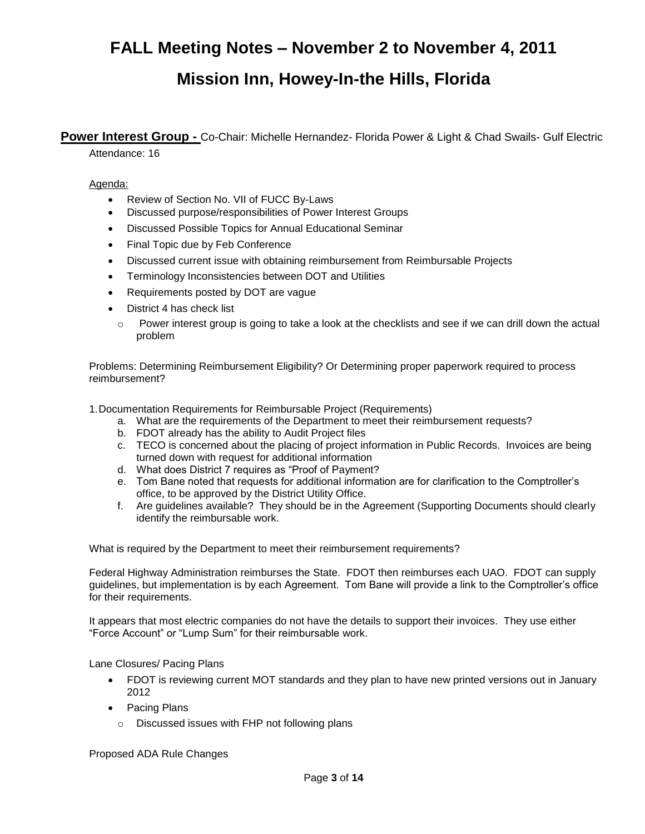### **Mission Inn, Howey-In-the Hills, Florida**

**Power Interest Group -** Co-Chair: Michelle Hernandez- Florida Power & Light & Chad Swails- Gulf Electric Attendance: 16

#### Agenda:

- Review of Section No. VII of FUCC By-Laws
- Discussed purpose/responsibilities of Power Interest Groups
- Discussed Possible Topics for Annual Educational Seminar
- Final Topic due by Feb Conference
- Discussed current issue with obtaining reimbursement from Reimbursable Projects
- Terminology Inconsistencies between DOT and Utilities
- Requirements posted by DOT are vague
- District 4 has check list
	- o Power interest group is going to take a look at the checklists and see if we can drill down the actual problem

Problems: Determining Reimbursement Eligibility? Or Determining proper paperwork required to process reimbursement?

1.Documentation Requirements for Reimbursable Project (Requirements)

- a. What are the requirements of the Department to meet their reimbursement requests?
- b. FDOT already has the ability to Audit Project files
- c. TECO is concerned about the placing of project information in Public Records. Invoices are being turned down with request for additional information
- d. What does District 7 requires as "Proof of Payment?
- e. Tom Bane noted that requests for additional information are for clarification to the Comptroller's office, to be approved by the District Utility Office.
- f. Are guidelines available? They should be in the Agreement (Supporting Documents should clearly identify the reimbursable work.

What is required by the Department to meet their reimbursement requirements?

Federal Highway Administration reimburses the State. FDOT then reimburses each UAO. FDOT can supply guidelines, but implementation is by each Agreement. Tom Bane will provide a link to the Comptroller's office for their requirements.

It appears that most electric companies do not have the details to support their invoices. They use either "Force Account" or "Lump Sum" for their reimbursable work.

Lane Closures/ Pacing Plans

- FDOT is reviewing current MOT standards and they plan to have new printed versions out in January 2012
- Pacing Plans
	- o Discussed issues with FHP not following plans

Proposed ADA Rule Changes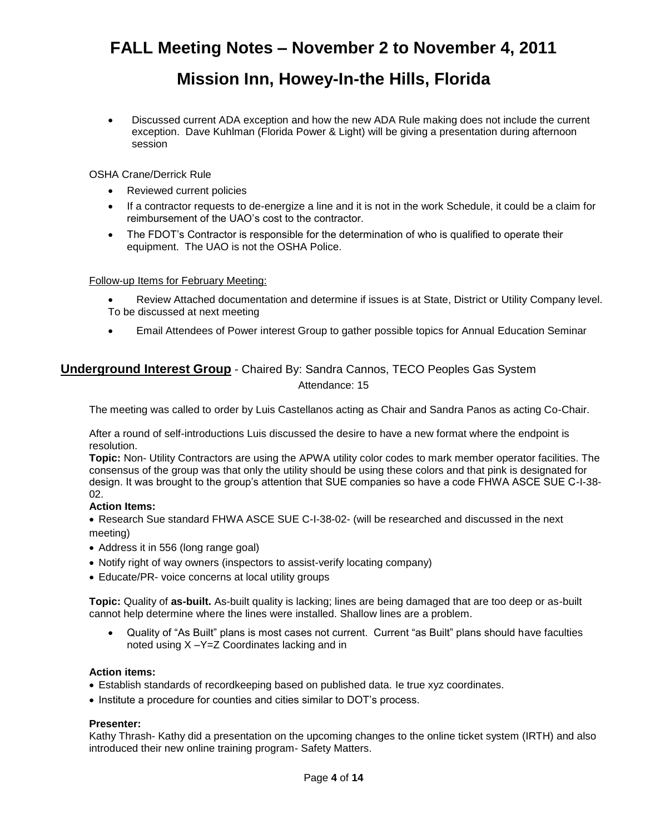## **Mission Inn, Howey-In-the Hills, Florida**

 Discussed current ADA exception and how the new ADA Rule making does not include the current exception. Dave Kuhlman (Florida Power & Light) will be giving a presentation during afternoon session

OSHA Crane/Derrick Rule

- Reviewed current policies
- If a contractor requests to de-energize a line and it is not in the work Schedule, it could be a claim for reimbursement of the UAO's cost to the contractor.
- The FDOT's Contractor is responsible for the determination of who is qualified to operate their equipment. The UAO is not the OSHA Police.

#### Follow-up Items for February Meeting:

- Review Attached documentation and determine if issues is at State, District or Utility Company level. To be discussed at next meeting
- Email Attendees of Power interest Group to gather possible topics for Annual Education Seminar

### **Underground Interest Group** - Chaired By: Sandra Cannos, TECO Peoples Gas System Attendance: 15

The meeting was called to order by Luis Castellanos acting as Chair and Sandra Panos as acting Co-Chair.

After a round of self-introductions Luis discussed the desire to have a new format where the endpoint is resolution.

**Topic:** Non- Utility Contractors are using the APWA utility color codes to mark member operator facilities. The consensus of the group was that only the utility should be using these colors and that pink is designated for design. It was brought to the group's attention that SUE companies so have a code FHWA ASCE SUE C-I-38- 02.

#### **Action Items:**

 Research Sue standard FHWA ASCE SUE C-I-38-02- (will be researched and discussed in the next meeting)

- Address it in 556 (long range goal)
- Notify right of way owners (inspectors to assist-verify locating company)
- Educate/PR- voice concerns at local utility groups

**Topic:** Quality of **as-built.** As-built quality is lacking; lines are being damaged that are too deep or as-built cannot help determine where the lines were installed. Shallow lines are a problem.

 Quality of "As Built" plans is most cases not current. Current "as Built" plans should have faculties noted using X –Y=Z Coordinates lacking and in

#### **Action items:**

- Establish standards of recordkeeping based on published data. Ie true xyz coordinates.
- Institute a procedure for counties and cities similar to DOT's process.

#### **Presenter:**

Kathy Thrash- Kathy did a presentation on the upcoming changes to the online ticket system (IRTH) and also introduced their new online training program- Safety Matters.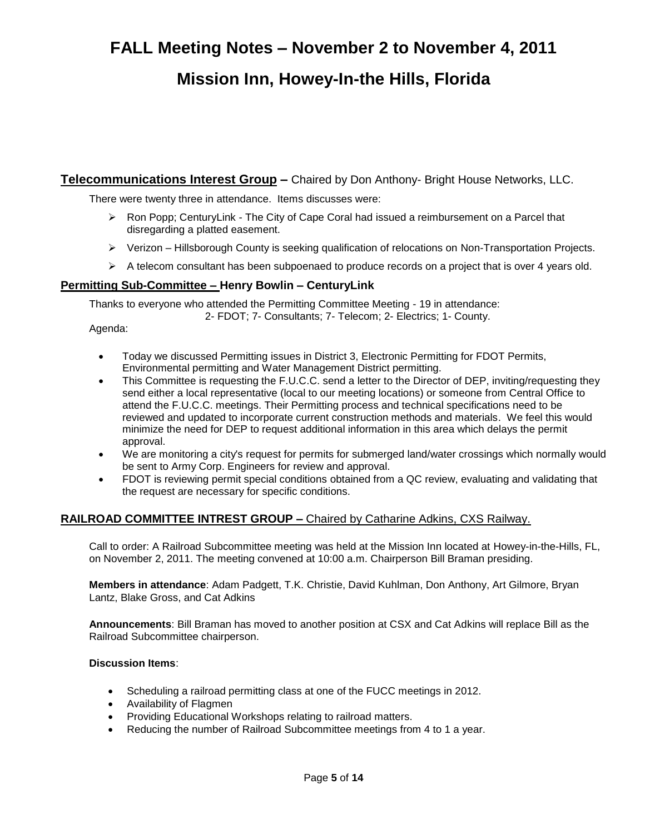## **Mission Inn, Howey-In-the Hills, Florida**

**Telecommunications Interest Group –** Chaired by Don Anthony- Bright House Networks, LLC.

There were twenty three in attendance. Items discusses were:

- $\triangleright$  Ron Popp; CenturyLink The City of Cape Coral had issued a reimbursement on a Parcel that disregarding a platted easement.
- Verizon Hillsborough County is seeking qualification of relocations on Non-Transportation Projects.
- $\triangleright$  A telecom consultant has been subpoenaed to produce records on a project that is over 4 years old.

#### **Permitting Sub-Committee – Henry Bowlin – CenturyLink**

Thanks to everyone who attended the Permitting Committee Meeting - 19 in attendance: 2- FDOT; 7- Consultants; 7- Telecom; 2- Electrics; 1- County.

Agenda:

- Today we discussed Permitting issues in District 3, Electronic Permitting for FDOT Permits, Environmental permitting and Water Management District permitting.
- This Committee is requesting the F.U.C.C. send a letter to the Director of DEP, inviting/requesting they send either a local representative (local to our meeting locations) or someone from Central Office to attend the F.U.C.C. meetings. Their Permitting process and technical specifications need to be reviewed and updated to incorporate current construction methods and materials. We feel this would minimize the need for DEP to request additional information in this area which delays the permit approval.
- We are monitoring a city's request for permits for submerged land/water crossings which normally would be sent to Army Corp. Engineers for review and approval.
- FDOT is reviewing permit special conditions obtained from a QC review, evaluating and validating that the request are necessary for specific conditions.

### **RAILROAD COMMITTEE INTREST GROUP –** Chaired by Catharine Adkins, CXS Railway.

Call to order: A Railroad Subcommittee meeting was held at the Mission Inn located at Howey-in-the-Hills, FL, on November 2, 2011. The meeting convened at 10:00 a.m. Chairperson Bill Braman presiding.

**Members in attendance**: Adam Padgett, T.K. Christie, David Kuhlman, Don Anthony, Art Gilmore, Bryan Lantz, Blake Gross, and Cat Adkins

**Announcements**: Bill Braman has moved to another position at CSX and Cat Adkins will replace Bill as the Railroad Subcommittee chairperson.

#### **Discussion Items**:

- Scheduling a railroad permitting class at one of the FUCC meetings in 2012.
- Availability of Flagmen
- Providing Educational Workshops relating to railroad matters.
- Reducing the number of Railroad Subcommittee meetings from 4 to 1 a year.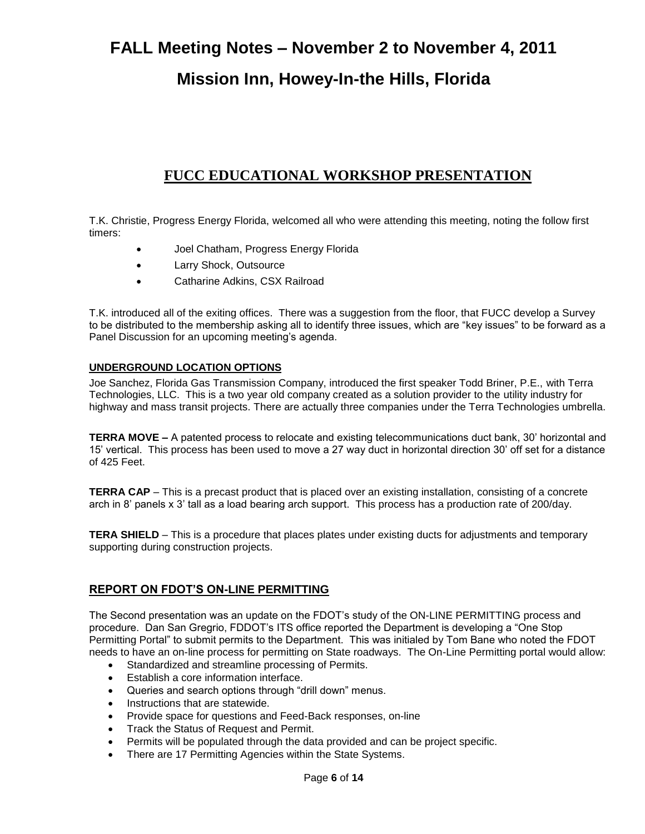# **FALL Meeting Notes – November 2 to November 4, 2011 Mission Inn, Howey-In-the Hills, Florida**

### **FUCC EDUCATIONAL WORKSHOP PRESENTATION**

T.K. Christie, Progress Energy Florida, welcomed all who were attending this meeting, noting the follow first timers:

- Joel Chatham, Progress Energy Florida
- Larry Shock, Outsource
- Catharine Adkins, CSX Railroad

T.K. introduced all of the exiting offices. There was a suggestion from the floor, that FUCC develop a Survey to be distributed to the membership asking all to identify three issues, which are "key issues" to be forward as a Panel Discussion for an upcoming meeting's agenda.

#### **UNDERGROUND LOCATION OPTIONS**

Joe Sanchez, Florida Gas Transmission Company, introduced the first speaker Todd Briner, P.E., with Terra Technologies, LLC. This is a two year old company created as a solution provider to the utility industry for highway and mass transit projects. There are actually three companies under the Terra Technologies umbrella.

**TERRA MOVE –** A patented process to relocate and existing telecommunications duct bank, 30' horizontal and 15' vertical. This process has been used to move a 27 way duct in horizontal direction 30' off set for a distance of 425 Feet.

**TERRA CAP** – This is a precast product that is placed over an existing installation, consisting of a concrete arch in 8' panels x 3' tall as a load bearing arch support. This process has a production rate of 200/day.

**TERA SHIELD** – This is a procedure that places plates under existing ducts for adjustments and temporary supporting during construction projects.

#### **REPORT ON FDOT'S ON-LINE PERMITTING**

The Second presentation was an update on the FDOT's study of the ON-LINE PERMITTING process and procedure. Dan San Gregrio, FDDOT's ITS office reported the Department is developing a "One Stop Permitting Portal" to submit permits to the Department. This was initialed by Tom Bane who noted the FDOT needs to have an on-line process for permitting on State roadways. The On-Line Permitting portal would allow:

- Standardized and streamline processing of Permits.
- Establish a core information interface.
- Queries and search options through "drill down" menus.
- Instructions that are statewide.
- Provide space for questions and Feed-Back responses, on-line
- Track the Status of Request and Permit.
- Permits will be populated through the data provided and can be project specific.
- There are 17 Permitting Agencies within the State Systems.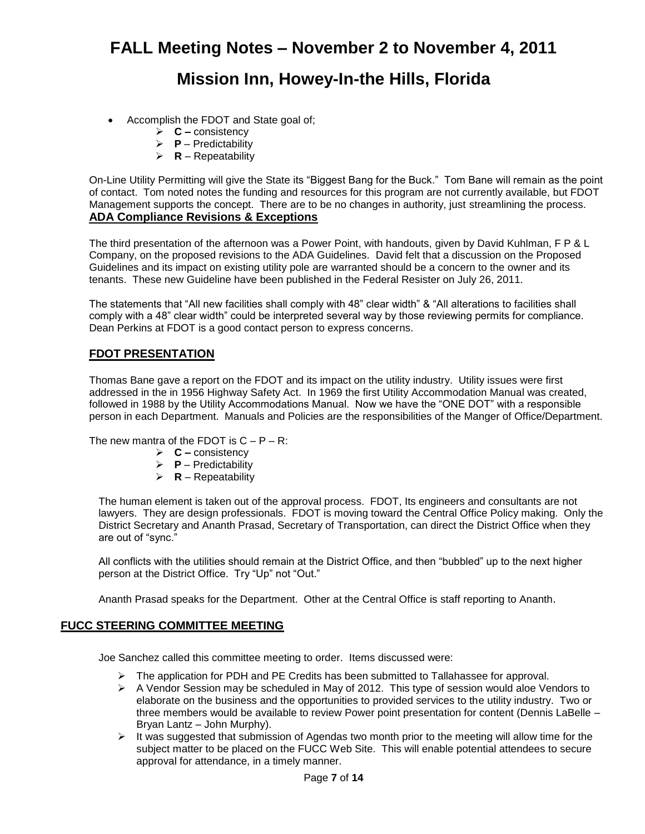# **FALL Meeting Notes – November 2 to November 4, 2011 Mission Inn, Howey-In-the Hills, Florida**

- Accomplish the FDOT and State goal of;
	- **C –** consistency
	- $\triangleright$  **P** Predictability
	- $\triangleright$  **R** Repeatability

On-Line Utility Permitting will give the State its "Biggest Bang for the Buck." Tom Bane will remain as the point of contact. Tom noted notes the funding and resources for this program are not currently available, but FDOT Management supports the concept. There are to be no changes in authority, just streamlining the process. **ADA Compliance Revisions & Exceptions**

The third presentation of the afternoon was a Power Point, with handouts, given by David Kuhlman, F P & L Company, on the proposed revisions to the ADA Guidelines. David felt that a discussion on the Proposed Guidelines and its impact on existing utility pole are warranted should be a concern to the owner and its tenants. These new Guideline have been published in the Federal Resister on July 26, 2011.

The statements that "All new facilities shall comply with 48" clear width" & "All alterations to facilities shall comply with a 48" clear width" could be interpreted several way by those reviewing permits for compliance. Dean Perkins at FDOT is a good contact person to express concerns.

### **FDOT PRESENTATION**

Thomas Bane gave a report on the FDOT and its impact on the utility industry. Utility issues were first addressed in the in 1956 Highway Safety Act. In 1969 the first Utility Accommodation Manual was created, followed in 1988 by the Utility Accommodations Manual. Now we have the "ONE DOT" with a responsible person in each Department. Manuals and Policies are the responsibilities of the Manger of Office/Department.

The new mantra of the FDOT is  $C - P - R$ :

- **C –** consistency
- $\triangleright$  **P** Predictability
- $\triangleright$  **R** Repeatability

The human element is taken out of the approval process. FDOT, Its engineers and consultants are not lawyers. They are design professionals. FDOT is moving toward the Central Office Policy making. Only the District Secretary and Ananth Prasad, Secretary of Transportation, can direct the District Office when they are out of "sync."

All conflicts with the utilities should remain at the District Office, and then "bubbled" up to the next higher person at the District Office. Try "Up" not "Out."

Ananth Prasad speaks for the Department. Other at the Central Office is staff reporting to Ananth.

#### **FUCC STEERING COMMITTEE MEETING**

Joe Sanchez called this committee meeting to order. Items discussed were:

- $\triangleright$  The application for PDH and PE Credits has been submitted to Tallahassee for approval.
- $\triangleright$  A Vendor Session may be scheduled in May of 2012. This type of session would aloe Vendors to elaborate on the business and the opportunities to provided services to the utility industry. Two or three members would be available to review Power point presentation for content (Dennis LaBelle – Bryan Lantz – John Murphy).
- $\triangleright$  It was suggested that submission of Agendas two month prior to the meeting will allow time for the subject matter to be placed on the FUCC Web Site. This will enable potential attendees to secure approval for attendance, in a timely manner.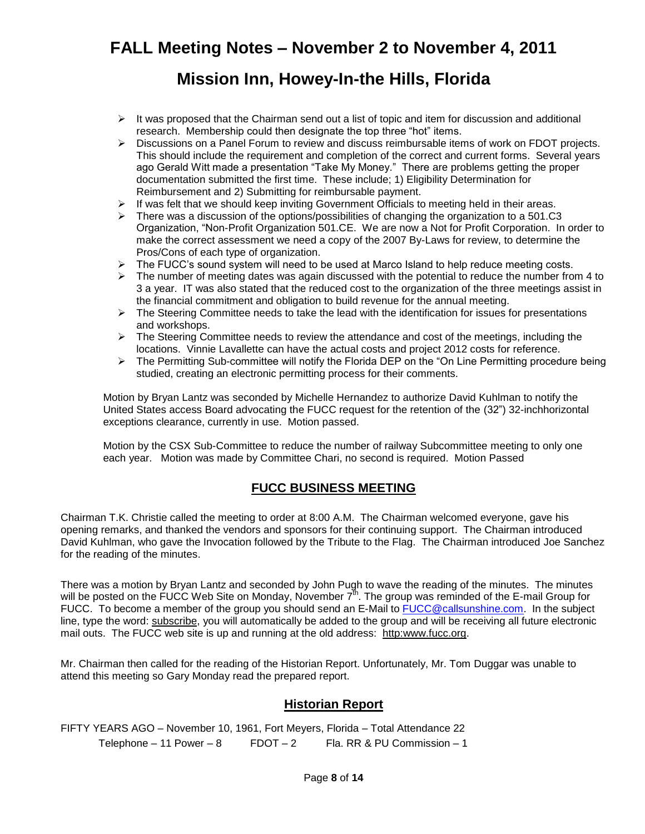### **Mission Inn, Howey-In-the Hills, Florida**

- $\triangleright$  It was proposed that the Chairman send out a list of topic and item for discussion and additional research. Membership could then designate the top three "hot" items.
- $\triangleright$  Discussions on a Panel Forum to review and discuss reimbursable items of work on FDOT projects. This should include the requirement and completion of the correct and current forms. Several years ago Gerald Witt made a presentation "Take My Money." There are problems getting the proper documentation submitted the first time. These include; 1) Eligibility Determination for Reimbursement and 2) Submitting for reimbursable payment.
- $\triangleright$  If was felt that we should keep inviting Government Officials to meeting held in their areas.
- $\triangleright$  There was a discussion of the options/possibilities of changing the organization to a 501.C3 Organization, "Non-Profit Organization 501.CE. We are now a Not for Profit Corporation. In order to make the correct assessment we need a copy of the 2007 By-Laws for review, to determine the Pros/Cons of each type of organization.
- $\triangleright$  The FUCC's sound system will need to be used at Marco Island to help reduce meeting costs.
- $\triangleright$  The number of meeting dates was again discussed with the potential to reduce the number from 4 to 3 a year. IT was also stated that the reduced cost to the organization of the three meetings assist in the financial commitment and obligation to build revenue for the annual meeting.
- $\triangleright$  The Steering Committee needs to take the lead with the identification for issues for presentations and workshops.
- $\triangleright$  The Steering Committee needs to review the attendance and cost of the meetings, including the locations. Vinnie Lavallette can have the actual costs and project 2012 costs for reference.
- $\triangleright$  The Permitting Sub-committee will notify the Florida DEP on the "On Line Permitting procedure being studied, creating an electronic permitting process for their comments.

Motion by Bryan Lantz was seconded by Michelle Hernandez to authorize David Kuhlman to notify the United States access Board advocating the FUCC request for the retention of the (32") 32-inchhorizontal exceptions clearance, currently in use. Motion passed.

Motion by the CSX Sub-Committee to reduce the number of railway Subcommittee meeting to only one each year. Motion was made by Committee Chari, no second is required. Motion Passed

#### **FUCC BUSINESS MEETING**

Chairman T.K. Christie called the meeting to order at 8:00 A.M. The Chairman welcomed everyone, gave his opening remarks, and thanked the vendors and sponsors for their continuing support. The Chairman introduced David Kuhlman, who gave the Invocation followed by the Tribute to the Flag. The Chairman introduced Joe Sanchez for the reading of the minutes.

There was a motion by Bryan Lantz and seconded by John Pugh to wave the reading of the minutes. The minutes will be posted on the FUCC Web Site on Monday, November  $7^{\text{th}}$ . The group was reminded of the E-mail Group for FUCC. To become a member of the group you should send an E-Mail to [FUCC@callsunshine.com.](mailto:FUCC@callsunshine.com) In the subject line, type the word: subscribe, you will automatically be added to the group and will be receiving all future electronic mail outs. The FUCC web site is up and running at the old address: http:www.fucc.org.

Mr. Chairman then called for the reading of the Historian Report. Unfortunately, Mr. Tom Duggar was unable to attend this meeting so Gary Monday read the prepared report.

#### **Historian Report**

FIFTY YEARS AGO – November 10, 1961, Fort Meyers, Florida – Total Attendance 22 Telephone – 11 Power – 8 FDOT – 2 Fla. RR & PU Commission – 1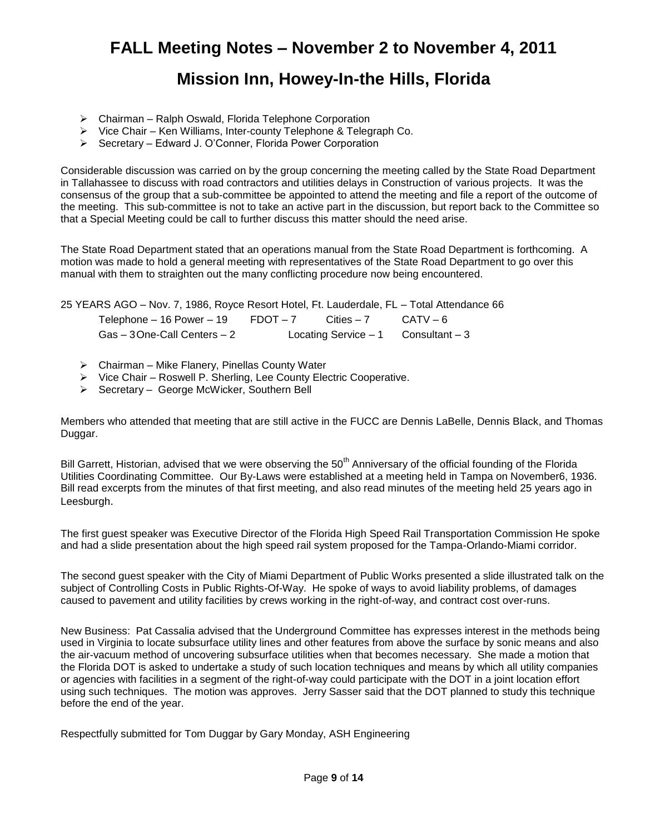### **Mission Inn, Howey-In-the Hills, Florida**

- Chairman Ralph Oswald, Florida Telephone Corporation
- $\triangleright$  Vice Chair Ken Williams, Inter-county Telephone & Telegraph Co.
- Secretary Edward J. O'Conner, Florida Power Corporation

Considerable discussion was carried on by the group concerning the meeting called by the State Road Department in Tallahassee to discuss with road contractors and utilities delays in Construction of various projects. It was the consensus of the group that a sub-committee be appointed to attend the meeting and file a report of the outcome of the meeting. This sub-committee is not to take an active part in the discussion, but report back to the Committee so that a Special Meeting could be call to further discuss this matter should the need arise.

The State Road Department stated that an operations manual from the State Road Department is forthcoming. A motion was made to hold a general meeting with representatives of the State Road Department to go over this manual with them to straighten out the many conflicting procedure now being encountered.

25 YEARS AGO – Nov. 7, 1986, Royce Resort Hotel, Ft. Lauderdale, FL – Total Attendance 66

| Telephone $-16$ Power $-19$  | FDOT – 7              | Cities $-7$ | $CATV - 6$     |
|------------------------------|-----------------------|-------------|----------------|
| Gas - 3 One-Call Centers - 2 | Locating Service $-1$ |             | Consultant – 3 |

- $\triangleright$  Chairman Mike Flanery, Pinellas County Water
- $\triangleright$  Vice Chair Roswell P. Sherling, Lee County Electric Cooperative.
- $\triangleright$  Secretary George McWicker, Southern Bell

Members who attended that meeting that are still active in the FUCC are Dennis LaBelle, Dennis Black, and Thomas Duggar.

Bill Garrett, Historian, advised that we were observing the 50<sup>th</sup> Anniversary of the official founding of the Florida Utilities Coordinating Committee. Our By-Laws were established at a meeting held in Tampa on November6, 1936. Bill read excerpts from the minutes of that first meeting, and also read minutes of the meeting held 25 years ago in Leesburgh.

The first guest speaker was Executive Director of the Florida High Speed Rail Transportation Commission He spoke and had a slide presentation about the high speed rail system proposed for the Tampa-Orlando-Miami corridor.

The second guest speaker with the City of Miami Department of Public Works presented a slide illustrated talk on the subject of Controlling Costs in Public Rights-Of-Way. He spoke of ways to avoid liability problems, of damages caused to pavement and utility facilities by crews working in the right-of-way, and contract cost over-runs.

New Business: Pat Cassalia advised that the Underground Committee has expresses interest in the methods being used in Virginia to locate subsurface utility lines and other features from above the surface by sonic means and also the air-vacuum method of uncovering subsurface utilities when that becomes necessary. She made a motion that the Florida DOT is asked to undertake a study of such location techniques and means by which all utility companies or agencies with facilities in a segment of the right-of-way could participate with the DOT in a joint location effort using such techniques. The motion was approves. Jerry Sasser said that the DOT planned to study this technique before the end of the year.

Respectfully submitted for Tom Duggar by Gary Monday, ASH Engineering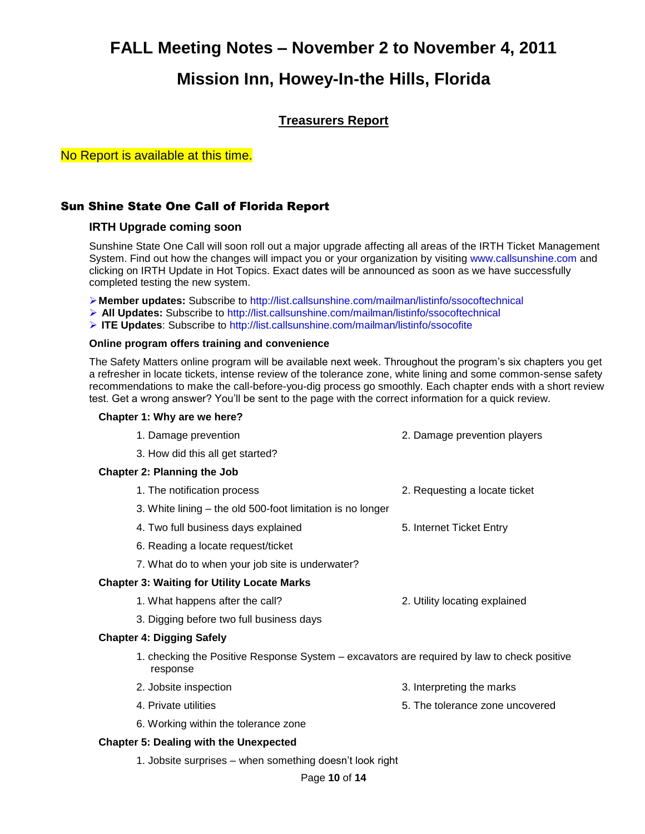### **Mission Inn, Howey-In-the Hills, Florida**

### **Treasurers Report**

No Report is available at this time.

#### Sun Shine State One Call of Florida Report

#### **IRTH Upgrade coming soon**

Sunshine State One Call will soon roll out a major upgrade affecting all areas of the IRTH Ticket Management System. Find out how the changes will impact you or your organization by visiting www.callsunshine.com and clicking on IRTH Update in Hot Topics. Exact dates will be announced as soon as we have successfully completed testing the new system.

**Member updates:** Subscribe to http://list.callsunshine.com/mailman/listinfo/ssocoftechnical

- **All Updates:** Subscribe to http://list.callsunshine.com/mailman/listinfo/ssocoftechnical
- **ITE Updates**: Subscribe to http://list.callsunshine.com/mailman/listinfo/ssocofite

#### **Online program offers training and convenience**

The Safety Matters online program will be available next week. Throughout the program's six chapters you get a refresher in locate tickets, intense review of the tolerance zone, white lining and some common-sense safety recommendations to make the call-before-you-dig process go smoothly. Each chapter ends with a short review test. Get a wrong answer? You'll be sent to the page with the correct information for a quick review.

#### **Chapter 1: Why are we here?**

| 1. Damage prevention<br>2. Damage prevention players       |                                                                                             |
|------------------------------------------------------------|---------------------------------------------------------------------------------------------|
| 3. How did this all get started?                           |                                                                                             |
| <b>Chapter 2: Planning the Job</b>                         |                                                                                             |
| 1. The notification process                                | 2. Requesting a locate ticket                                                               |
| 3. White lining – the old 500-foot limitation is no longer |                                                                                             |
| 4. Two full business days explained                        | 5. Internet Ticket Entry                                                                    |
| 6. Reading a locate request/ticket                         |                                                                                             |
| 7. What do to when your job site is underwater?            |                                                                                             |
| <b>Chapter 3: Waiting for Utility Locate Marks</b>         |                                                                                             |
| 1. What happens after the call?                            | 2. Utility locating explained                                                               |
| 3. Digging before two full business days                   |                                                                                             |
| <b>Chapter 4: Digging Safely</b>                           |                                                                                             |
| response                                                   | 1. checking the Positive Response System – excavators are required by law to check positive |
| 2. Jobsite inspection                                      | 3. Interpreting the marks                                                                   |

- 4. Private utilities 5. The tolerance zone uncovered
- 6. Working within the tolerance zone

#### **Chapter 5: Dealing with the Unexpected**

1. Jobsite surprises – when something doesn't look right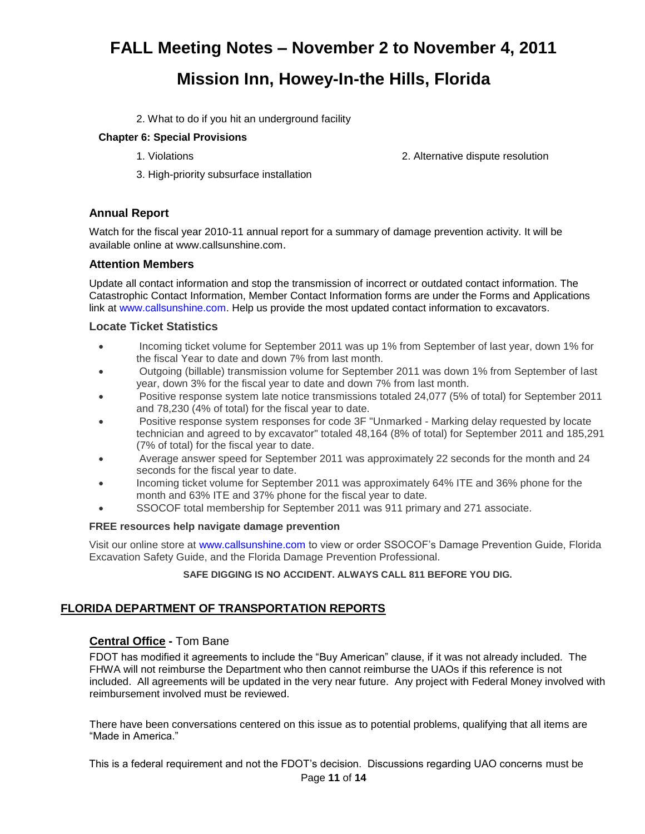# **FALL Meeting Notes – November 2 to November 4, 2011 Mission Inn, Howey-In-the Hills, Florida**

2. What to do if you hit an underground facility

#### **Chapter 6: Special Provisions**

1. Violations 2. Alternative dispute resolution

3. High-priority subsurface installation

#### **Annual Report**

Watch for the fiscal year 2010-11 annual report for a summary of damage prevention activity. It will be available online at www.callsunshine.com.

#### **Attention Members**

Update all contact information and stop the transmission of incorrect or outdated contact information. The Catastrophic Contact Information, Member Contact Information forms are under the Forms and Applications link at www.callsunshine.com. Help us provide the most updated contact information to excavators.

#### **Locate Ticket Statistics**

- Incoming ticket volume for September 2011 was up 1% from September of last year, down 1% for the fiscal Year to date and down 7% from last month.
- Outgoing (billable) transmission volume for September 2011 was down 1% from September of last year, down 3% for the fiscal year to date and down 7% from last month.
- Positive response system late notice transmissions totaled 24,077 (5% of total) for September 2011 and 78,230 (4% of total) for the fiscal year to date.
- Positive response system responses for code 3F "Unmarked Marking delay requested by locate technician and agreed to by excavator" totaled 48,164 (8% of total) for September 2011 and 185,291 (7% of total) for the fiscal year to date.
- Average answer speed for September 2011 was approximately 22 seconds for the month and 24 seconds for the fiscal year to date.
- Incoming ticket volume for September 2011 was approximately 64% ITE and 36% phone for the month and 63% ITE and 37% phone for the fiscal year to date.
- SSOCOF total membership for September 2011 was 911 primary and 271 associate.

#### **FREE resources help navigate damage prevention**

Visit our online store at www.callsunshine.com to view or order SSOCOF's Damage Prevention Guide, Florida Excavation Safety Guide, and the Florida Damage Prevention Professional.

#### **SAFE DIGGING IS NO ACCIDENT. ALWAYS CALL 811 BEFORE YOU DIG.**

#### **FLORIDA DEPARTMENT OF TRANSPORTATION REPORTS**

#### **Central Office -** Tom Bane

FDOT has modified it agreements to include the "Buy American" clause, if it was not already included. The FHWA will not reimburse the Department who then cannot reimburse the UAOs if this reference is not included. All agreements will be updated in the very near future. Any project with Federal Money involved with reimbursement involved must be reviewed.

There have been conversations centered on this issue as to potential problems, qualifying that all items are "Made in America."

Page **11** of **14** This is a federal requirement and not the FDOT's decision. Discussions regarding UAO concerns must be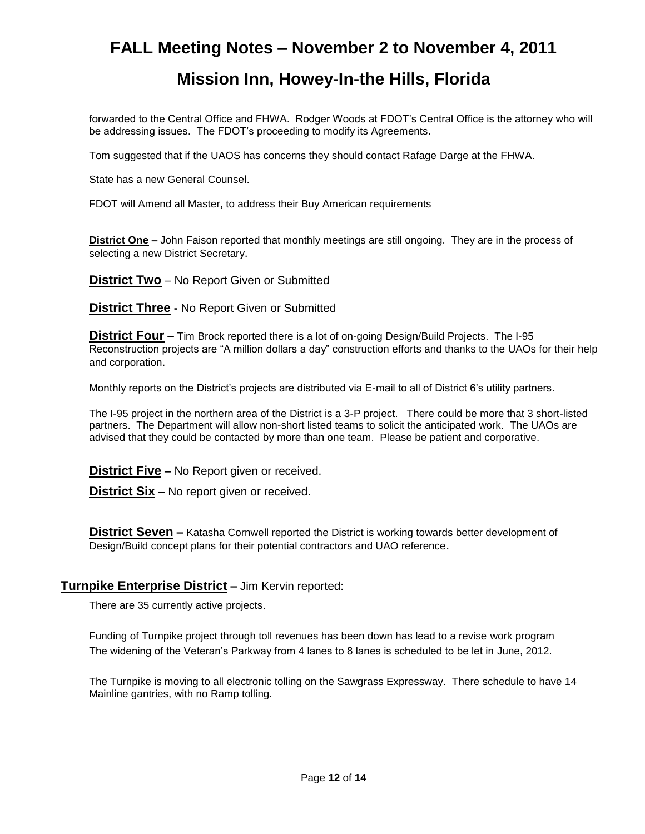### **Mission Inn, Howey-In-the Hills, Florida**

forwarded to the Central Office and FHWA. Rodger Woods at FDOT's Central Office is the attorney who will be addressing issues. The FDOT's proceeding to modify its Agreements.

Tom suggested that if the UAOS has concerns they should contact Rafage Darge at the FHWA.

State has a new General Counsel.

FDOT will Amend all Master, to address their Buy American requirements

**District One –** John Faison reported that monthly meetings are still ongoing. They are in the process of selecting a new District Secretary.

**District Two** – No Report Given or Submitted

**District Three -** No Report Given or Submitted

**District Four –** Tim Brock reported there is a lot of on-going Design/Build Projects. The I-95 Reconstruction projects are "A million dollars a day" construction efforts and thanks to the UAOs for their help and corporation.

Monthly reports on the District's projects are distributed via E-mail to all of District 6's utility partners.

The I-95 project in the northern area of the District is a 3-P project. There could be more that 3 short-listed partners. The Department will allow non-short listed teams to solicit the anticipated work. The UAOs are advised that they could be contacted by more than one team. Please be patient and corporative.

**District Five –** No Report given or received.

**District Six –** No report given or received.

**District Seven** – Katasha Cornwell reported the District is working towards better development of Design/Build concept plans for their potential contractors and UAO reference.

### **Turnpike Enterprise District –** Jim Kervin reported:

There are 35 currently active projects.

Funding of Turnpike project through toll revenues has been down has lead to a revise work program The widening of the Veteran's Parkway from 4 lanes to 8 lanes is scheduled to be let in June, 2012.

The Turnpike is moving to all electronic tolling on the Sawgrass Expressway. There schedule to have 14 Mainline gantries, with no Ramp tolling.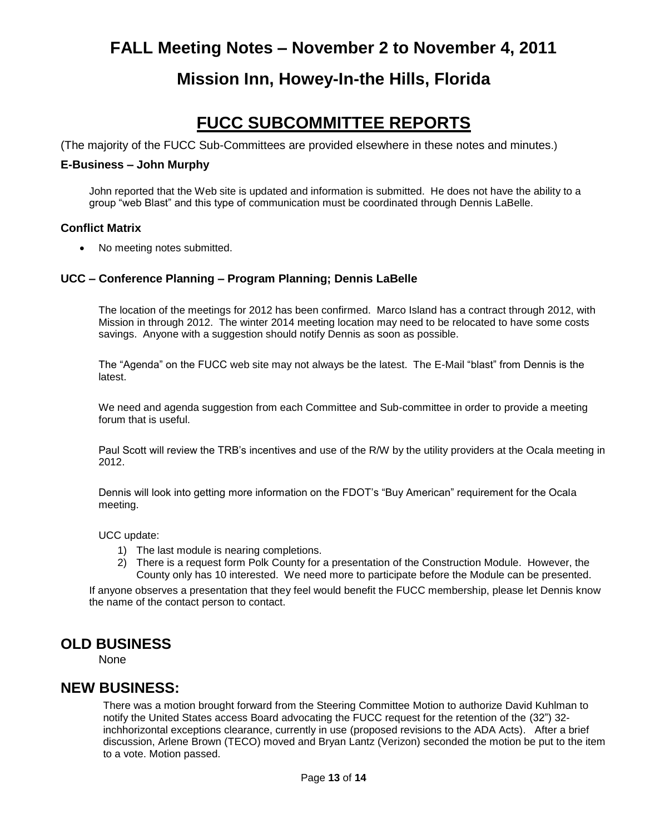### **Mission Inn, Howey-In-the Hills, Florida**

## **FUCC SUBCOMMITTEE REPORTS**

(The majority of the FUCC Sub-Committees are provided elsewhere in these notes and minutes.)

#### **E-Business – John Murphy**

John reported that the Web site is updated and information is submitted. He does not have the ability to a group "web Blast" and this type of communication must be coordinated through Dennis LaBelle.

#### **Conflict Matrix**

No meeting notes submitted.

#### **UCC – Conference Planning – Program Planning; Dennis LaBelle**

The location of the meetings for 2012 has been confirmed. Marco Island has a contract through 2012, with Mission in through 2012. The winter 2014 meeting location may need to be relocated to have some costs savings. Anyone with a suggestion should notify Dennis as soon as possible.

The "Agenda" on the FUCC web site may not always be the latest. The E-Mail "blast" from Dennis is the latest.

We need and agenda suggestion from each Committee and Sub-committee in order to provide a meeting forum that is useful.

Paul Scott will review the TRB's incentives and use of the R/W by the utility providers at the Ocala meeting in 2012.

Dennis will look into getting more information on the FDOT's "Buy American" requirement for the Ocala meeting.

UCC update:

- 1) The last module is nearing completions.
- 2) There is a request form Polk County for a presentation of the Construction Module. However, the County only has 10 interested. We need more to participate before the Module can be presented.

If anyone observes a presentation that they feel would benefit the FUCC membership, please let Dennis know the name of the contact person to contact.

### **OLD BUSINESS**

None

### **NEW BUSINESS:**

There was a motion brought forward from the Steering Committee Motion to authorize David Kuhlman to notify the United States access Board advocating the FUCC request for the retention of the (32") 32 inchhorizontal exceptions clearance, currently in use (proposed revisions to the ADA Acts). After a brief discussion, Arlene Brown (TECO) moved and Bryan Lantz (Verizon) seconded the motion be put to the item to a vote. Motion passed.